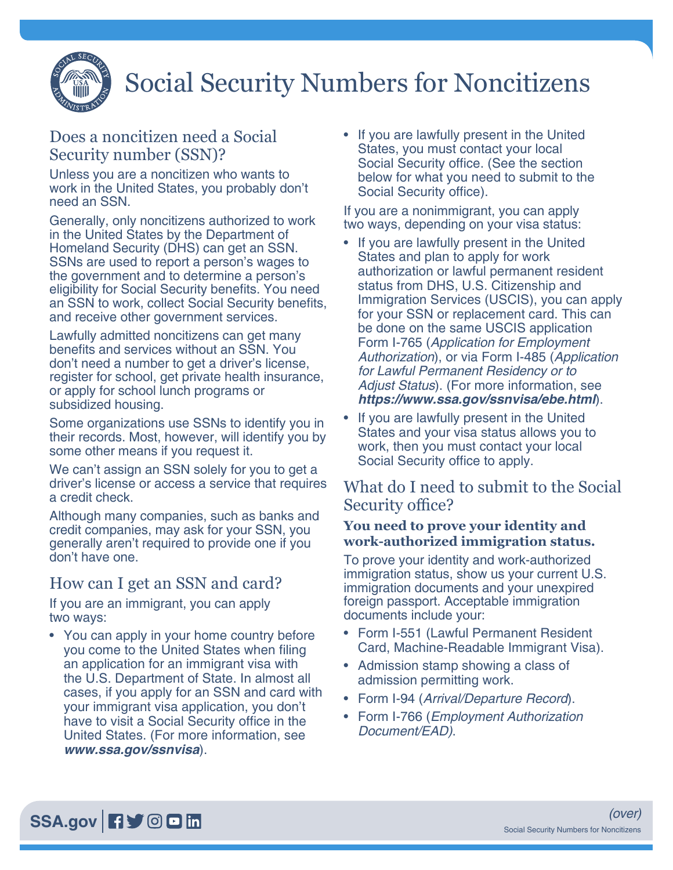

# Social Security Numbers for Noncitizens

# Does a noncitizen need a Social Security number (SSN)?

Unless you are a noncitizen who wants to work in the United States, you probably don't need an SSN.

Generally, only noncitizens authorized to work in the United States by the Department of Homeland Security (DHS) can get an SSN. SSNs are used to report a person's wages to the government and to determine a person's eligibility for Social Security benefits. You need an SSN to work, collect Social Security benefits, and receive other government services.

Lawfully admitted noncitizens can get many benefits and services without an SSN. You don't need a number to get a driver's license, register for school, get private health insurance, or apply for school lunch programs or subsidized housing.

Some organizations use SSNs to identify you in their records. Most, however, will identify you by some other means if you request it.

We can't assign an SSN solely for you to get a driver's license or access a service that requires a credit check.

Although many companies, such as banks and credit companies, may ask for your SSN, you generally aren't required to provide one if you don't have one.

## How can I get an SSN and card?

If you are an immigrant, you can apply two ways:

• You can apply in your home country before you come to the United States when filing an application for an immigrant visa with the U.S. Department of State. In almost all cases, if you apply for an SSN and card with your immigrant visa application, you don't have to visit a Social Security office in the United States. (For more information, see *[www.ssa.gov/ssnvisa](https://www.socialsecurity.gov/ssnvisa)*).

• If you are lawfully present in the United States, you must contact your local Social Security office. (See the section below for what you need to submit to the Social Security office).

If you are a nonimmigrant, you can apply two ways, depending on your visa status:

- If you are lawfully present in the United States and plan to apply for work authorization or lawful permanent resident status from DHS, U.S. Citizenship and Immigration Services (USCIS), you can apply for your SSN or replacement card. This can be done on the same USCIS application Form I-765 (*Application for Employment Authorization*), or via Form I-485 (*Application for Lawful Permanent Residency or to Adjust Status*). (For more information, see *https://www.ssa.gov/ssnvisa/ebe.html*).
- If you are lawfully present in the United States and your visa status allows you to work, then you must contact your local Social Security office to apply.

## What do I need to submit to the Social Security office?

#### **You need to prove your identity and work-authorized immigration status.**

To prove your identity and work-authorized immigration status, show us your current U.S. immigration documents and your unexpired foreign passport. Acceptable immigration documents include your:

- Form I-551 (Lawful Permanent Resident Card, Machine-Readable Immigrant Visa).
- Admission stamp showing a class of admission permitting work.
- Form I-94 (*Arrival/Departure Record*).
- Form I-766 (*Employment Authorization Document/EAD)*.